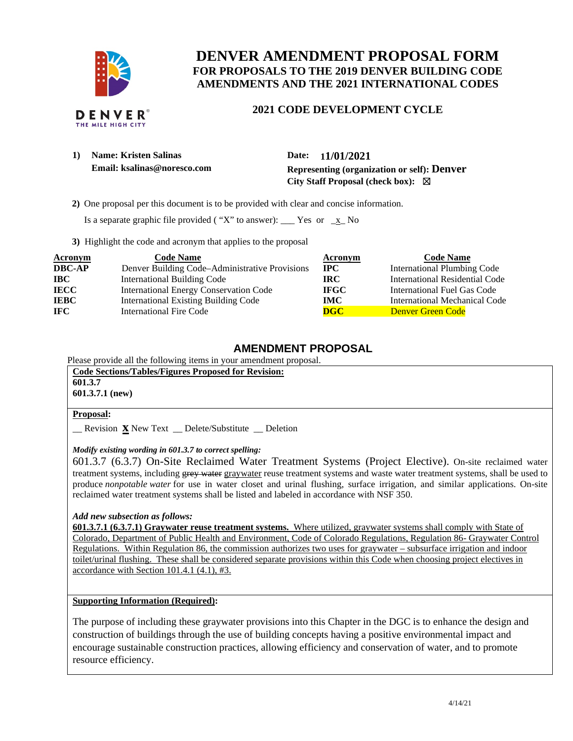

## **DENVER AMENDMENT PROPOSAL FORM FOR PROPOSALS TO THE 2019 DENVER BUILDING CODE AMENDMENTS AND THE 2021 INTERNATIONAL CODES**

# **2021 CODE DEVELOPMENT CYCLE**

| $\bf{1)}$ | <b>Name: Kristen Salinas</b> | Date:     |
|-----------|------------------------------|-----------|
|           | Email: ksalinas@noresco.com  | Represent |

**1) Name: Kristen Salinas Date: 11/01/2021 Email: ksalinas@noresco.com Representing (organization or self): Denver City Staff Proposal (check box):** ☒

 **2)** One proposal per this document is to be provided with clear and concise information.

Is a separate graphic file provided ("X" to answer): \_\_\_ Yes or  $\mathbf{x}$  No

**3)** Highlight the code and acronym that applies to the proposal

| <b>Acronym</b> | <b>Code Name</b>                               | Acronym     | <b>Code Name</b>                   |
|----------------|------------------------------------------------|-------------|------------------------------------|
| <b>DBC-AP</b>  | Denver Building Code-Administrative Provisions | $\bf{IPC}$  | <b>International Plumbing Code</b> |
| <b>IBC</b>     | <b>International Building Code</b>             | IRC.        | International Residential Code     |
| <b>IECC</b>    | <b>International Energy Conservation Code</b>  | <b>IFGC</b> | <b>International Fuel Gas Code</b> |
| <b>IEBC</b>    | <b>International Existing Building Code</b>    | <b>IMC</b>  | International Mechanical Code      |
| IFC.           | <b>International Fire Code</b>                 | DGC         | Denver Green Code                  |

### **AMENDMENT PROPOSAL**

Please provide all the following items in your amendment proposal.

**Code Sections/Tables/Figures Proposed for Revision: 601.3.7 601.3.7.1 (new) Proposal:**  \_\_ Revision **x** New Text \_\_ Delete/Substitute \_\_ Deletion

#### *Modify existing wording in 601.3.7 to correct spelling:*

601.3.7 (6.3.7) On-Site Reclaimed Water Treatment Systems (Project Elective). On-site reclaimed water treatment systems, including grey water graywater reuse treatment systems and waste water treatment systems, shall be used to produce *nonpotable water* for use in water closet and urinal flushing, surface irrigation, and similar applications. On-site reclaimed water treatment systems shall be listed and labeled in accordance with NSF 350.

#### *Add new subsection as follows:*

**601.3.7.1 (6.3.7.1) Graywater reuse treatment systems.** Where utilized, graywater systems shall comply with State of Colorado, Department of Public Health and Environment, Code of Colorado Regulations, Regulation 86- Graywater Control Regulations. Within Regulation 86, the commission authorizes two uses for graywater – subsurface irrigation and indoor toilet/urinal flushing. These shall be considered separate provisions within this Code when choosing project electives in accordance with Section 101.4.1 (4.1), #3.

#### **Supporting Information (Required):**

The purpose of including these graywater provisions into this Chapter in the DGC is to enhance the design and construction of buildings through the use of building concepts having a positive environmental impact and encourage sustainable construction practices, allowing efficiency and conservation of water, and to promote resource efficiency.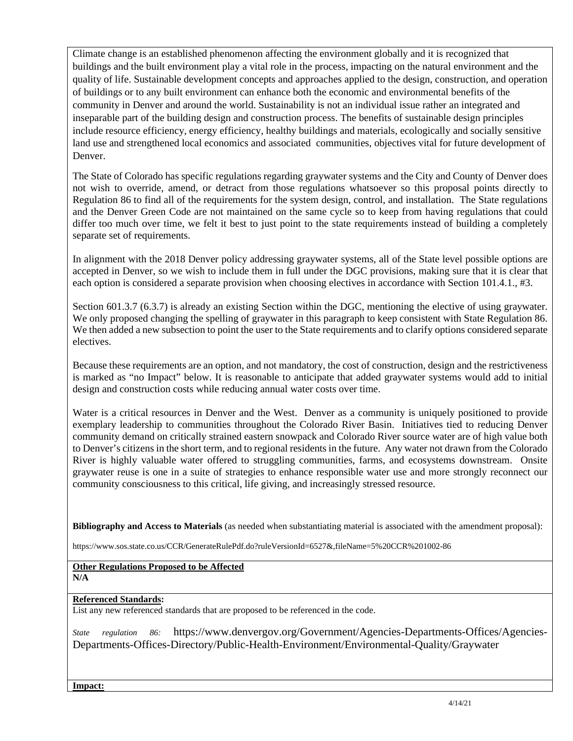Climate change is an established phenomenon affecting the environment globally and it is recognized that buildings and the built environment play a vital role in the process, impacting on the natural environment and the quality of life. Sustainable development concepts and approaches applied to the design, construction, and operation of buildings or to any built environment can enhance both the economic and environmental benefits of the community in Denver and around the world. Sustainability is not an individual issue rather an integrated and inseparable part of the building design and construction process. The benefits of sustainable design principles include resource efficiency, energy efficiency, healthy buildings and materials, ecologically and socially sensitive land use and strengthened local economics and associated communities, objectives vital for future development of Denver.

The State of Colorado has specific regulations regarding graywater systems and the City and County of Denver does not wish to override, amend, or detract from those regulations whatsoever so this proposal points directly to Regulation 86 to find all of the requirements for the system design, control, and installation. The State regulations and the Denver Green Code are not maintained on the same cycle so to keep from having regulations that could differ too much over time, we felt it best to just point to the state requirements instead of building a completely separate set of requirements.

In alignment with the 2018 Denver policy addressing graywater systems, all of the State level possible options are accepted in Denver, so we wish to include them in full under the DGC provisions, making sure that it is clear that each option is considered a separate provision when choosing electives in accordance with Section 101.4.1., #3.

Section 601.3.7 (6.3.7) is already an existing Section within the DGC, mentioning the elective of using graywater. We only proposed changing the spelling of graywater in this paragraph to keep consistent with State Regulation 86. We then added a new subsection to point the user to the State requirements and to clarify options considered separate electives.

Because these requirements are an option, and not mandatory, the cost of construction, design and the restrictiveness is marked as "no Impact" below. It is reasonable to anticipate that added graywater systems would add to initial design and construction costs while reducing annual water costs over time.

Water is a critical resources in Denver and the West. Denver as a community is uniquely positioned to provide exemplary leadership to communities throughout the Colorado River Basin. Initiatives tied to reducing Denver community demand on critically strained eastern snowpack and Colorado River source water are of high value both to Denver's citizens in the short term, and to regional residents in the future. Any water not drawn from the Colorado River is highly valuable water offered to struggling communities, farms, and ecosystems downstream. Onsite graywater reuse is one in a suite of strategies to enhance responsible water use and more strongly reconnect our community consciousness to this critical, life giving, and increasingly stressed resource.

**Bibliography and Access to Materials** (as needed when substantiating material is associated with the amendment proposal):

https://www.sos.state.co.us/CCR/GenerateRulePdf.do?ruleVersionId=6527&,fileName=5%20CCR%201002-86

#### **Other Regulations Proposed to be Affected N/A**

#### **Referenced Standards:**

List any new referenced standards that are proposed to be referenced in the code.

*State regulation 86:* https://www.denvergov.org/Government/Agencies-Departments-Offices/Agencies-Departments-Offices-Directory/Public-Health-Environment/Environmental-Quality/Graywater

**Impact:**